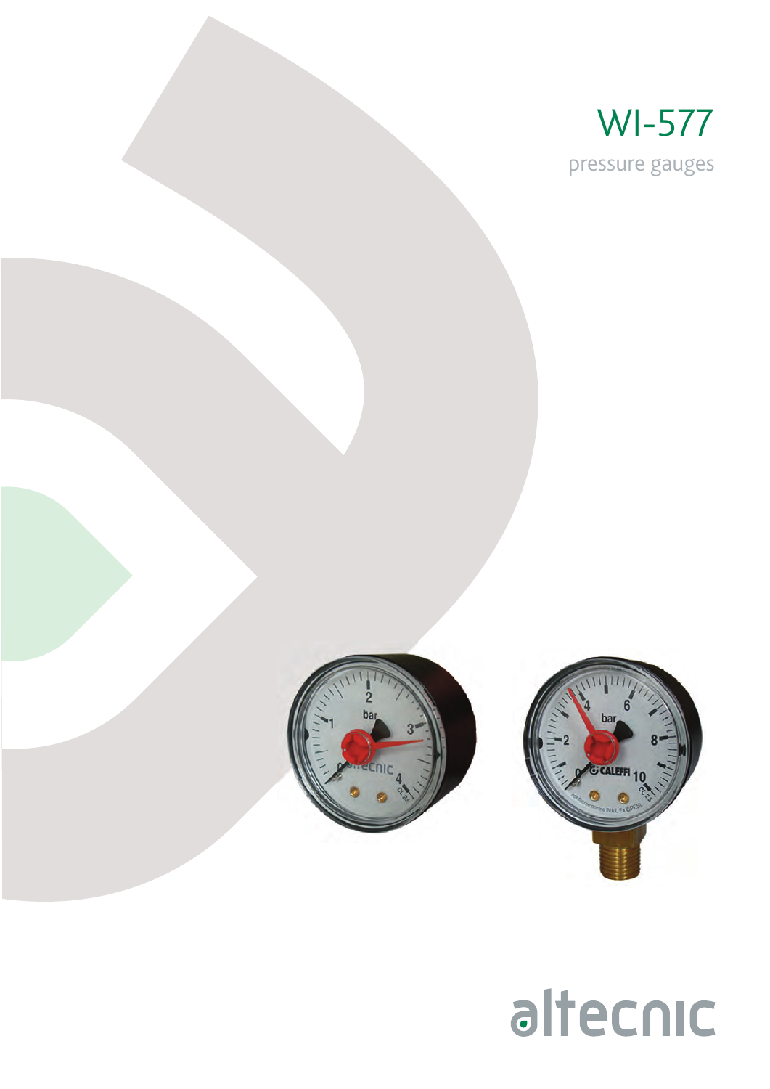





## altecnic